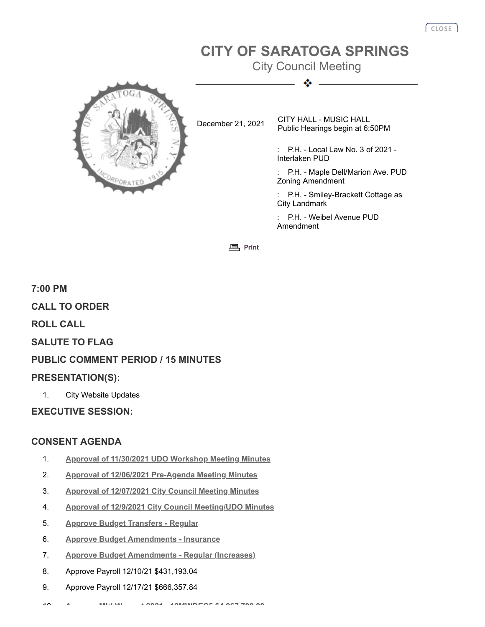# **CITY OF SARATOGA SPRINGS**

City Council Meeting ٠



December 21, 2021 CITY HALL - MUSIC HALL Public Hearings begin at 6:50PM

> : P.H. - Local Law No. 3 of 2021 - Interlaken PUD

: P.H. - Maple Dell/Marion Ave. PUD Zoning Amendment

: P.H. - Smiley-Brackett Cottage as City Landmark

P.H. - Weibel Avenue PUD Amendment

**[Print](javascript:history.go(0);)** 

**7:00 PM CALL TO ORDER ROLL CALL SALUTE TO FLAG PUBLIC COMMENT PERIOD / 15 MINUTES PRESENTATION(S):** 1. City Website Updates

**EXECUTIVE SESSION:**

# **CONSENT AGENDA**

- 1. **[Approval of 11/30/2021 UDO Workshop Meeting Minutes](http://agenda.saratoga-springs.org/agendainternal/Bluesheet.aspx?ItemID=18146&MeetingID=533)**
- 2. **[Approval of 12/06/2021 Pre-Agenda Meeting Minutes](http://agenda.saratoga-springs.org/agendainternal/Bluesheet.aspx?ItemID=18147&MeetingID=533)**
- 3. **[Approval of 12/07/2021 City Council Meeting Minutes](http://agenda.saratoga-springs.org/agendainternal/Bluesheet.aspx?ItemID=18164&MeetingID=533)**
- 4. **[Approval of 12/9/2021 City Council Meeting/UDO Minutes](http://agenda.saratoga-springs.org/agendainternal/Bluesheet.aspx?ItemID=18167&MeetingID=533)**
- 5. **[Approve Budget Transfers Regular](http://agenda.saratoga-springs.org/agendainternal/Bluesheet.aspx?ItemID=18186&MeetingID=533)**
- 6. **[Approve Budget Amendments Insurance](http://agenda.saratoga-springs.org/agendainternal/Bluesheet.aspx?ItemID=18188&MeetingID=533)**
- 7. **[Approve Budget Amendments Regular \(Increases\)](http://agenda.saratoga-springs.org/agendainternal/Bluesheet.aspx?ItemID=18187&MeetingID=533)**
- 8. Approve Payroll 12/10/21 \$431,193.04
- 9. Approve Payroll 12/17/21 \$666,357.84

10 **A MId W t 2021 [12MWDEC5](http://agenda.saratoga-springs.org/agendainternal/Bluesheet.aspx?ItemID=18177&MeetingID=533) \$4 967 709 00**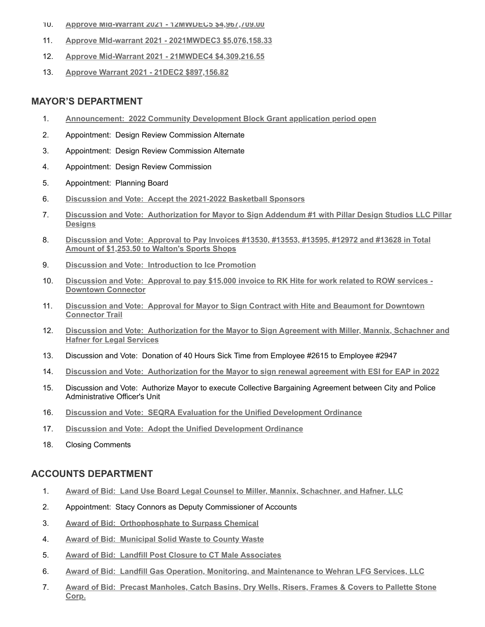- 10. **[Approve MId-Warrant 2021 12MWDEC5 \\$4,967,709.00](http://agenda.saratoga-springs.org/agendainternal/Bluesheet.aspx?ItemID=18177&MeetingID=533)**
- 11. **[Approve MId-warrant 2021 2021MWDEC3 \\$5,076,158.33](http://agenda.saratoga-springs.org/agendainternal/Bluesheet.aspx?ItemID=18175&MeetingID=533)**
- 12. **[Approve Mid-Warrant 2021 21MWDEC4 \\$4,309,216.55](http://agenda.saratoga-springs.org/agendainternal/Bluesheet.aspx?ItemID=18176&MeetingID=533)**
- 13. **[Approve Warrant 2021 21DEC2 \\$897,156.82](http://agenda.saratoga-springs.org/agendainternal/Bluesheet.aspx?ItemID=18173&MeetingID=533)**

#### **MAYOR'S DEPARTMENT**

- 1. **Announcement: [2022 Community Development Block Grant application period open](http://agenda.saratoga-springs.org/agendainternal/Bluesheet.aspx?ItemID=18201&MeetingID=533)**
- 2. Appointment: Design Review Commission Alternate
- 3. Appointment: Design Review Commission Alternate
- 4. Appointment: Design Review Commission
- 5. Appointment: Planning Board
- 6. **Discussion and Vote: [Accept the 2021-2022 Basketball Sponsors](http://agenda.saratoga-springs.org/agendainternal/Bluesheet.aspx?ItemID=18134&MeetingID=533)**
- 7. **Discussion and Vote: [Authorization for Mayor to Sign Addendum #1 with Pillar Design Studios LLC Pillar](http://agenda.saratoga-springs.org/agendainternal/Bluesheet.aspx?ItemID=18136&MeetingID=533) Designs**
- 8. **Discussion and Vote: [Approval to Pay Invoices #13530, #13553, #13595, #12972 and #13628 in Total](http://agenda.saratoga-springs.org/agendainternal/Bluesheet.aspx?ItemID=18165&MeetingID=533) Amount of \$1,253.50 to Walton's Sports Shops**
- 9. **Discussion and Vote: [Introduction to Ice Promotion](http://agenda.saratoga-springs.org/agendainternal/Bluesheet.aspx?ItemID=18155&MeetingID=533)**
- 10. **Discussion and Vote: [Approval to pay \\$15,000 invoice to RK Hite for work related to ROW services -](http://agenda.saratoga-springs.org/agendainternal/Bluesheet.aspx?ItemID=18137&MeetingID=533) Downtown Connector**
- 11. **Discussion and Vote: [Approval for Mayor to Sign Contract with Hite and Beaumont for Downtown](http://agenda.saratoga-springs.org/agendainternal/Bluesheet.aspx?ItemID=18133&MeetingID=533) Connector Trail**
- 12. **Discussion and Vote: [Authorization for the Mayor to Sign Agreement with Miller, Mannix, Schachner and](http://agenda.saratoga-springs.org/agendainternal/Bluesheet.aspx?ItemID=18037&MeetingID=533) Hafner for Legal Services**
- 13. Discussion and Vote: Donation of 40 Hours Sick Time from Employee #2615 to Employee #2947
- 14. **Discussion and Vote: [Authorization for the Mayor to sign renewal agreement with ESI for EAP in 2022](http://agenda.saratoga-springs.org/agendainternal/Bluesheet.aspx?ItemID=18169&MeetingID=533)**
- 15. Discussion and Vote: Authorize Mayor to execute Collective Bargaining Agreement between City and Police Administrative Officer's Unit
- 16. **Discussion and Vote: [SEQRA Evaluation for the Unified Development Ordinance](http://agenda.saratoga-springs.org/agendainternal/Bluesheet.aspx?ItemID=18013&MeetingID=533)**
- 17. **Discussion and Vote: [Adopt the Unified Development Ordinance](http://agenda.saratoga-springs.org/agendainternal/Bluesheet.aspx?ItemID=18011&MeetingID=533)**
- 18. Closing Comments

# **ACCOUNTS DEPARTMENT**

- 1. **Award of Bid: [Land Use Board Legal Counsel to Miller, Mannix, Schachner, and Hafner, LLC](http://agenda.saratoga-springs.org/agendainternal/Bluesheet.aspx?ItemID=18168&MeetingID=533)**
- 2. Appointment: Stacy Connors as Deputy Commissioner of Accounts
- 3. **Award of Bid: [Orthophosphate to Surpass Chemical](http://agenda.saratoga-springs.org/agendainternal/Bluesheet.aspx?ItemID=18138&MeetingID=533)**
- 4. **Award of Bid: [Municipal Solid Waste to County Waste](http://agenda.saratoga-springs.org/agendainternal/Bluesheet.aspx?ItemID=18141&MeetingID=533)**
- 5. **Award of Bid: [Landfill Post Closure to CT Male Associates](http://agenda.saratoga-springs.org/agendainternal/Bluesheet.aspx?ItemID=18144&MeetingID=533)**
- 6. **Award of Bid: [Landfill Gas Operation, Monitoring, and Maintenance to Wehran LFG Services, LLC](http://agenda.saratoga-springs.org/agendainternal/Bluesheet.aspx?ItemID=18143&MeetingID=533)**
- 7. **Award of Bid: [Precast Manholes, Catch Basins, Dry Wells, Risers, Frames & Covers to Pallette Stone](http://agenda.saratoga-springs.org/agendainternal/Bluesheet.aspx?ItemID=18154&MeetingID=533) Corp.**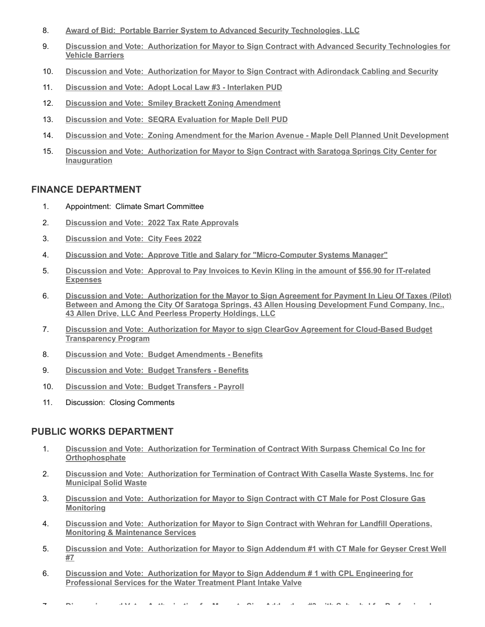- 8. **Award of Bid: [Portable Barrier System to Advanced Security Technologies, LLC](http://agenda.saratoga-springs.org/agendainternal/Bluesheet.aspx?ItemID=18145&MeetingID=533)**
- 9. **Discussion and Vote: [Authorization for Mayor to Sign Contract with Advanced Security Technologies for](http://agenda.saratoga-springs.org/agendainternal/Bluesheet.aspx?ItemID=18132&MeetingID=533) Vehicle Barriers**
- 10. **Discussion and Vote: [Authorization for Mayor to Sign Contract with Adirondack Cabling and Security](http://agenda.saratoga-springs.org/agendainternal/Bluesheet.aspx?ItemID=18162&MeetingID=533)**
- 11. **Discussion and Vote: [Adopt Local Law #3 Interlaken PUD](http://agenda.saratoga-springs.org/agendainternal/Bluesheet.aspx?ItemID=18152&MeetingID=533)**
- 12. **Discussion and Vote: [Smiley Brackett Zoning Amendment](http://agenda.saratoga-springs.org/agendainternal/Bluesheet.aspx?ItemID=18153&MeetingID=533)**
- 13. **Discussion and Vote: [SEQRA Evaluation for Maple Dell PUD](http://agenda.saratoga-springs.org/agendainternal/Bluesheet.aspx?ItemID=18196&MeetingID=533)**
- 14. **Discussion and Vote: [Zoning Amendment for the Marion Avenue Maple Dell Planned Unit Development](http://agenda.saratoga-springs.org/agendainternal/Bluesheet.aspx?ItemID=18197&MeetingID=533)**
- 15. **Discussion and Vote: [Authorization for Mayor to Sign Contract with Saratoga Springs City Center for](http://agenda.saratoga-springs.org/agendainternal/Bluesheet.aspx?ItemID=18190&MeetingID=533) Inauguration**

#### **FINANCE DEPARTMENT**

- 1. Appointment: Climate Smart Committee
- 2. **Discussion and Vote: [2022 Tax Rate Approvals](http://agenda.saratoga-springs.org/agendainternal/Bluesheet.aspx?ItemID=18181&MeetingID=533)**
- 3. **[Discussion and Vote:](http://agenda.saratoga-springs.org/agendainternal/Bluesheet.aspx?ItemID=18179&MeetingID=533) City Fees 2022**
- 4. **Discussion and Vote: [Approve Title and Salary for "Micro-Computer Systems Manager"](http://agenda.saratoga-springs.org/agendainternal/Bluesheet.aspx?ItemID=18211&MeetingID=533)**
- 5. **Discussion and Vote: [Approval to Pay Invoices to Kevin Kling in the amount of \\$56.90 for IT-related](http://agenda.saratoga-springs.org/agendainternal/Bluesheet.aspx?ItemID=18189&MeetingID=533) Expenses**
- 6. **Discussion and Vote: Authorization for the Mayor to Sign Agreement for Payment In Lieu Of Taxes (Pilot) [Between and Among the City Of Saratoga Springs, 43 Allen Housing Development Fund Company, Inc.,](http://agenda.saratoga-springs.org/agendainternal/Bluesheet.aspx?ItemID=18180&MeetingID=533) 43 Allen Drive, LLC And Peerless Property Holdings, LLC**
- 7. **Discussion and Vote: [Authorization for Mayor to sign ClearGov Agreement for Cloud-Based Budget](http://agenda.saratoga-springs.org/agendainternal/Bluesheet.aspx?ItemID=18204&MeetingID=533) Transparency Program**
- 8. **Discussion and Vote: [Budget Amendments Benefits](http://agenda.saratoga-springs.org/agendainternal/Bluesheet.aspx?ItemID=18183&MeetingID=533)**
- 9. **Discussion and Vote: [Budget Transfers Benefits](http://agenda.saratoga-springs.org/agendainternal/Bluesheet.aspx?ItemID=18184&MeetingID=533)**
- 10. **Discussion and Vote: [Budget Transfers Payroll](http://agenda.saratoga-springs.org/agendainternal/Bluesheet.aspx?ItemID=18185&MeetingID=533)**
- 11. Discussion: Closing Comments

### **PUBLIC WORKS DEPARTMENT**

- 1. **Discussion and Vote: [Authorization for Termination of Contract With Surpass Chemical Co Inc for](http://agenda.saratoga-springs.org/agendainternal/Bluesheet.aspx?ItemID=18199&MeetingID=533) Orthophosphate**
- 2. **Discussion and Vote: [Authorization for Termination of Contract With Casella Waste Systems, Inc for](http://agenda.saratoga-springs.org/agendainternal/Bluesheet.aspx?ItemID=18200&MeetingID=533) Municipal Solid Waste**
- 3. **Discussion and Vote: [Authorization for Mayor to Sign Contract with CT Male for Post Closure Gas](http://agenda.saratoga-springs.org/agendainternal/Bluesheet.aspx?ItemID=18156&MeetingID=533) Monitoring**
- 4. **Discussion and Vote: [Authorization for Mayor to Sign Contract with Wehran for Landfill Operations,](http://agenda.saratoga-springs.org/agendainternal/Bluesheet.aspx?ItemID=18139&MeetingID=533) Monitoring & Maintenance Services**
- 5. **Discussion and Vote: [Authorization for Mayor to Sign Addendum #1 with CT Male for Geyser Crest Well](http://agenda.saratoga-springs.org/agendainternal/Bluesheet.aspx?ItemID=18159&MeetingID=533) #7**
- 6. **Discussion and Vote: [Authorization for Mayor to Sign Addendum # 1 with CPL Engineering for](http://agenda.saratoga-springs.org/agendainternal/Bluesheet.aspx?ItemID=18060&MeetingID=533) Professional Services for the Water Treatment Plant Intake Valve**